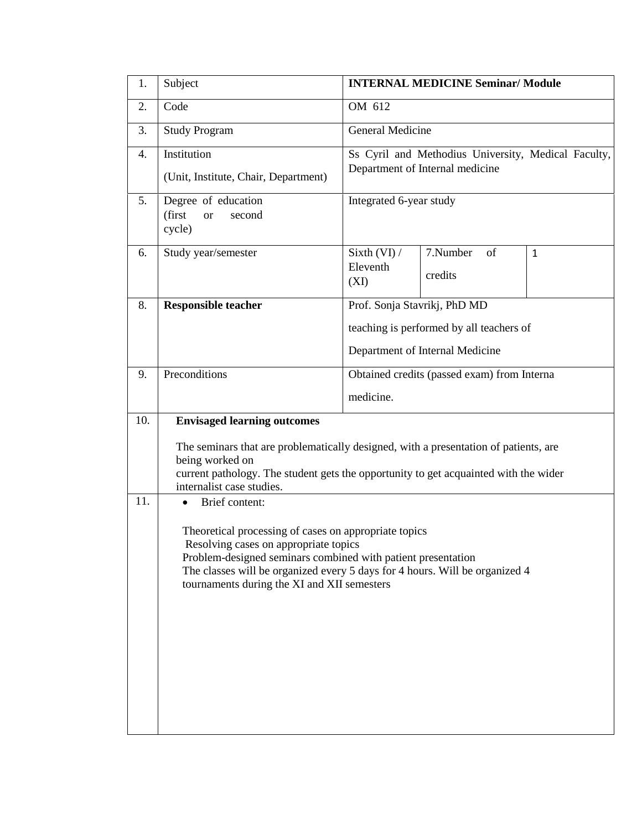| 1.  | Subject                                                                                                                                                                                                                                                                                      | <b>INTERNAL MEDICINE Seminar/ Module</b>                                               |                           |              |  |  |  |
|-----|----------------------------------------------------------------------------------------------------------------------------------------------------------------------------------------------------------------------------------------------------------------------------------------------|----------------------------------------------------------------------------------------|---------------------------|--------------|--|--|--|
| 2.  | Code                                                                                                                                                                                                                                                                                         | OM 612                                                                                 |                           |              |  |  |  |
| 3.  | <b>Study Program</b>                                                                                                                                                                                                                                                                         | General Medicine                                                                       |                           |              |  |  |  |
| 4.  | Institution<br>(Unit, Institute, Chair, Department)                                                                                                                                                                                                                                          | Ss Cyril and Methodius University, Medical Faculty,<br>Department of Internal medicine |                           |              |  |  |  |
| 5.  | Degree of education<br>(first<br>second<br><b>or</b><br>cycle)                                                                                                                                                                                                                               | Integrated 6-year study                                                                |                           |              |  |  |  |
| 6.  | Study year/semester                                                                                                                                                                                                                                                                          | Sixth $(VI)$ /<br>Eleventh<br>(XI)                                                     | 7.Number<br>of<br>credits | $\mathbf{1}$ |  |  |  |
| 8.  | <b>Responsible teacher</b>                                                                                                                                                                                                                                                                   | Prof. Sonja Stavrikj, PhD MD                                                           |                           |              |  |  |  |
|     |                                                                                                                                                                                                                                                                                              | teaching is performed by all teachers of                                               |                           |              |  |  |  |
|     |                                                                                                                                                                                                                                                                                              | Department of Internal Medicine                                                        |                           |              |  |  |  |
| 9.  | Preconditions                                                                                                                                                                                                                                                                                | Obtained credits (passed exam) from Interna                                            |                           |              |  |  |  |
|     |                                                                                                                                                                                                                                                                                              | medicine.                                                                              |                           |              |  |  |  |
| 10. | <b>Envisaged learning outcomes</b>                                                                                                                                                                                                                                                           |                                                                                        |                           |              |  |  |  |
|     | The seminars that are problematically designed, with a presentation of patients, are<br>being worked on<br>current pathology. The student gets the opportunity to get acquainted with the wider<br>internalist case studies.                                                                 |                                                                                        |                           |              |  |  |  |
| 11. | Brief content:                                                                                                                                                                                                                                                                               |                                                                                        |                           |              |  |  |  |
|     | Theoretical processing of cases on appropriate topics<br>Resolving cases on appropriate topics<br>Problem-designed seminars combined with patient presentation<br>The classes will be organized every 5 days for 4 hours. Will be organized 4<br>tournaments during the XI and XII semesters |                                                                                        |                           |              |  |  |  |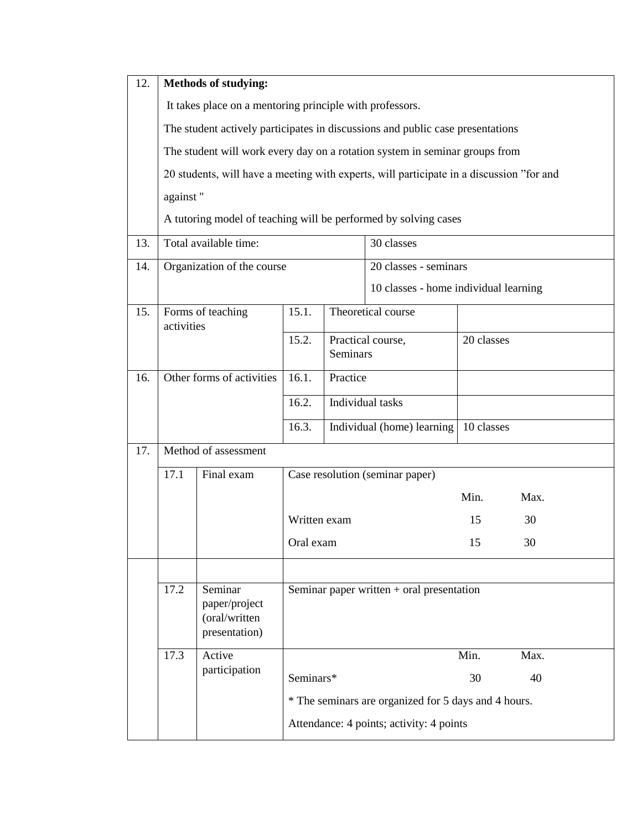| 12. | <b>Methods of studying:</b>                                                              |                                |                                                      |                            |                                       |            |      |  |
|-----|------------------------------------------------------------------------------------------|--------------------------------|------------------------------------------------------|----------------------------|---------------------------------------|------------|------|--|
|     | It takes place on a mentoring principle with professors.                                 |                                |                                                      |                            |                                       |            |      |  |
|     | The student actively participates in discussions and public case presentations           |                                |                                                      |                            |                                       |            |      |  |
|     | The student will work every day on a rotation system in seminar groups from              |                                |                                                      |                            |                                       |            |      |  |
|     | 20 students, will have a meeting with experts, will participate in a discussion "for and |                                |                                                      |                            |                                       |            |      |  |
|     | against"                                                                                 |                                |                                                      |                            |                                       |            |      |  |
|     | A tutoring model of teaching will be performed by solving cases                          |                                |                                                      |                            |                                       |            |      |  |
| 13. |                                                                                          | Total available time:          | 30 classes                                           |                            |                                       |            |      |  |
| 14. | Organization of the course                                                               |                                |                                                      | 20 classes - seminars      |                                       |            |      |  |
|     |                                                                                          |                                |                                                      |                            | 10 classes - home individual learning |            |      |  |
| 15. |                                                                                          | Forms of teaching              |                                                      |                            | Theoretical course                    |            |      |  |
|     | activities                                                                               |                                | 15.2.                                                | Practical course,          |                                       | 20 classes |      |  |
|     |                                                                                          | Seminars                       |                                                      |                            |                                       |            |      |  |
| 16. | Other forms of activities                                                                |                                | 16.1.                                                | Practice                   |                                       |            |      |  |
|     |                                                                                          |                                | 16.2.                                                | Individual tasks           |                                       |            |      |  |
|     |                                                                                          |                                | 16.3.                                                | Individual (home) learning |                                       | 10 classes |      |  |
| 17. | Method of assessment                                                                     |                                |                                                      |                            |                                       |            |      |  |
|     | Final exam<br>17.1<br>Case resolution (seminar paper)                                    |                                |                                                      |                            |                                       |            |      |  |
|     |                                                                                          |                                | Written exam                                         |                            | Min.                                  | Max.       |      |  |
|     |                                                                                          |                                |                                                      |                            |                                       | 15         | 30   |  |
|     |                                                                                          |                                |                                                      | Oral exam                  |                                       | 15         | 30   |  |
|     |                                                                                          |                                |                                                      |                            |                                       |            |      |  |
|     | 17.2                                                                                     | Seminar                        | Seminar paper written $+$ oral presentation          |                            |                                       |            |      |  |
|     |                                                                                          | paper/project                  |                                                      |                            |                                       |            |      |  |
|     |                                                                                          | (oral/written<br>presentation) |                                                      |                            |                                       |            |      |  |
|     | 17.3                                                                                     | Active                         |                                                      |                            |                                       | Min.       | Max. |  |
|     |                                                                                          | participation                  | Seminars*                                            |                            | 30                                    | 40         |      |  |
|     |                                                                                          |                                | * The seminars are organized for 5 days and 4 hours. |                            |                                       |            |      |  |
|     | Attendance: 4 points; activity: 4 points                                                 |                                |                                                      |                            |                                       |            |      |  |
|     |                                                                                          |                                |                                                      |                            |                                       |            |      |  |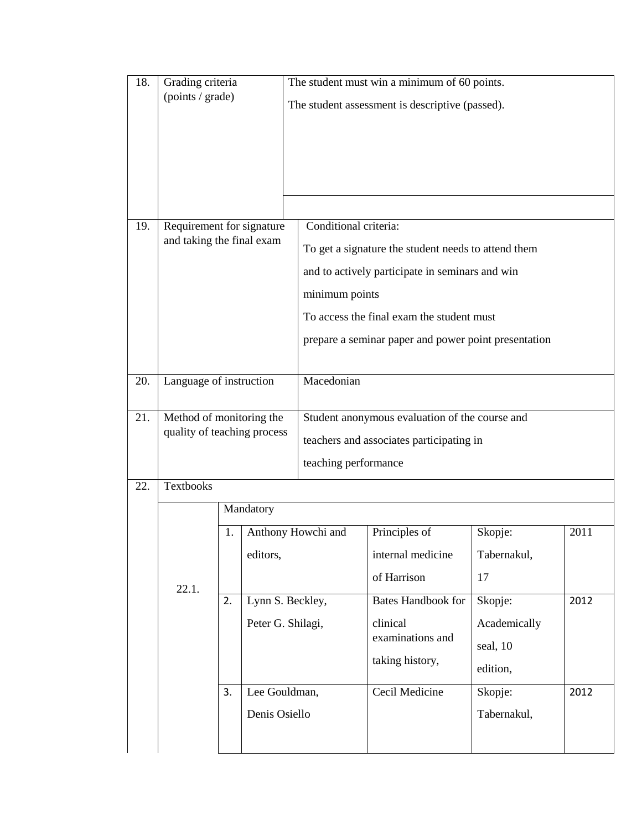| 18. | Grading criteria<br>(points / grade)                   |                                                                                 |                                                                         |                                                                                                                                                                                                                                                        | The student must win a minimum of 60 points.<br>The student assessment is descriptive (passed). |                                                                           |              |  |
|-----|--------------------------------------------------------|---------------------------------------------------------------------------------|-------------------------------------------------------------------------|--------------------------------------------------------------------------------------------------------------------------------------------------------------------------------------------------------------------------------------------------------|-------------------------------------------------------------------------------------------------|---------------------------------------------------------------------------|--------------|--|
| 19. | Requirement for signature<br>and taking the final exam |                                                                                 |                                                                         | Conditional criteria:<br>To get a signature the student needs to attend them<br>and to actively participate in seminars and win<br>minimum points<br>To access the final exam the student must<br>prepare a seminar paper and power point presentation |                                                                                                 |                                                                           |              |  |
| 20. |                                                        | Macedonian<br>Language of instruction                                           |                                                                         |                                                                                                                                                                                                                                                        |                                                                                                 |                                                                           |              |  |
| 21. |                                                        | Method of monitoring the<br>quality of teaching process<br>teaching performance |                                                                         |                                                                                                                                                                                                                                                        | Student anonymous evaluation of the course and<br>teachers and associates participating in      |                                                                           |              |  |
| 22. | <b>Textbooks</b>                                       |                                                                                 |                                                                         |                                                                                                                                                                                                                                                        |                                                                                                 |                                                                           |              |  |
|     |                                                        |                                                                                 | Mandatory                                                               |                                                                                                                                                                                                                                                        |                                                                                                 |                                                                           |              |  |
|     | 22.1.                                                  | 1.                                                                              | editors,                                                                | Anthony Howchi and                                                                                                                                                                                                                                     | Principles of<br>internal medicine<br>of Harrison                                               | Skopje:<br>Tabernakul,<br>17                                              | 2011         |  |
|     |                                                        | 2.<br>3.                                                                        | Lynn S. Beckley,<br>Peter G. Shilagi,<br>Lee Gouldman,<br>Denis Osiello |                                                                                                                                                                                                                                                        | <b>Bates Handbook for</b><br>clinical<br>examinations and<br>taking history,<br>Cecil Medicine  | Skopje:<br>Academically<br>seal, 10<br>edition,<br>Skopje:<br>Tabernakul, | 2012<br>2012 |  |